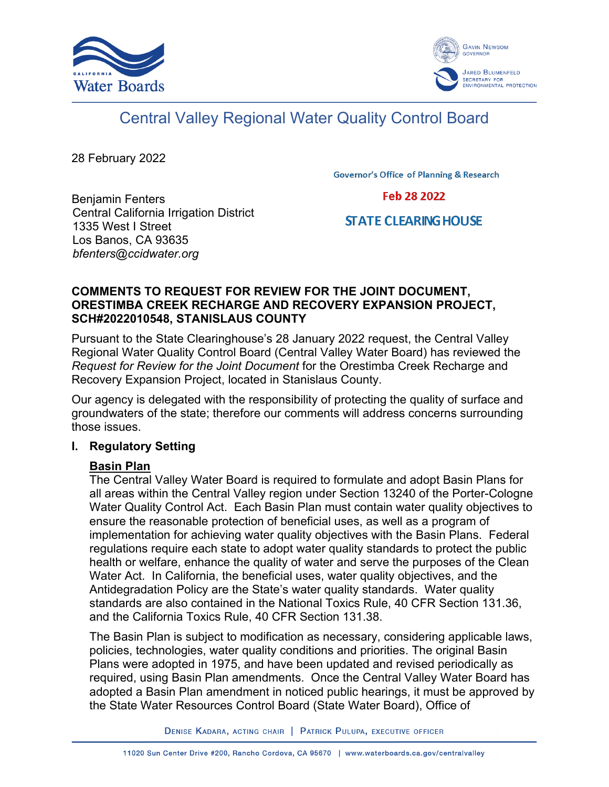



# Central Valley Regional Water Quality Control Board

28 February 2022

**Governor's Office of Planning & Research** 

Benjamin Fenters Central California Irrigation District 1335 West I Street Los Banos, CA 93635 *bfenters@ccidwater.org*

Feb 28 2022

## **STATE CLEARING HOUSE**

## **COMMENTS TO REQUEST FOR REVIEW FOR THE JOINT DOCUMENT, ORESTIMBA CREEK RECHARGE AND RECOVERY EXPANSION PROJECT, SCH#2022010548, STANISLAUS COUNTY**

Pursuant to the State Clearinghouse's 28 January 2022 request, the Central Valley Regional Water Quality Control Board (Central Valley Water Board) has reviewed the *Request for Review for the Joint Document* for the Orestimba Creek Recharge and Recovery Expansion Project, located in Stanislaus County.

Our agency is delegated with the responsibility of protecting the quality of surface and groundwaters of the state; therefore our comments will address concerns surrounding those issues.

## **I. Regulatory Setting**

## **Basin Plan**

The Central Valley Water Board is required to formulate and adopt Basin Plans for all areas within the Central Valley region under Section 13240 of the Porter-Cologne Water Quality Control Act. Each Basin Plan must contain water quality objectives to ensure the reasonable protection of beneficial uses, as well as a program of implementation for achieving water quality objectives with the Basin Plans. Federal regulations require each state to adopt water quality standards to protect the public health or welfare, enhance the quality of water and serve the purposes of the Clean Water Act. In California, the beneficial uses, water quality objectives, and the Antidegradation Policy are the State's water quality standards. Water quality standards are also contained in the National Toxics Rule, 40 CFR Section 131.36, and the California Toxics Rule, 40 CFR Section 131.38.

The Basin Plan is subject to modification as necessary, considering applicable laws, policies, technologies, water quality conditions and priorities. The original Basin Plans were adopted in 1975, and have been updated and revised periodically as required, using Basin Plan amendments. Once the Central Valley Water Board has adopted a Basin Plan amendment in noticed public hearings, it must be approved by the State Water Resources Control Board (State Water Board), Office of

DENISE KADARA, ACTING CHAIR | PATRICK PULUPA, EXECUTIVE OFFICER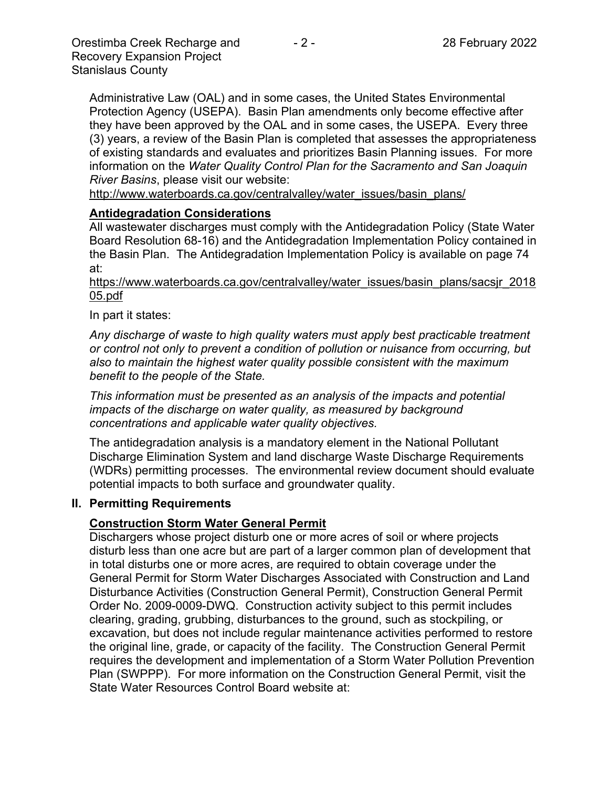Administrative Law (OAL) and in some cases, the United States Environmental Protection Agency (USEPA). Basin Plan amendments only become effective after they have been approved by the OAL and in some cases, the USEPA. Every three (3) years, a review of the Basin Plan is completed that assesses the appropriateness of existing standards and evaluates and prioritizes Basin Planning issues. For more information on the *Water Quality Control Plan for the Sacramento and San Joaquin River Basins*, please visit our website:

[http://www.waterboards.ca.gov/centralvalley/water\\_issues/basin\\_plans/](http://www.waterboards.ca.gov/centralvalley/water_issues/basin_plans/)

#### **Antidegradation Considerations**

All wastewater discharges must comply with the Antidegradation Policy (State Water Board Resolution 68-16) and the Antidegradation Implementation Policy contained in the Basin Plan. The Antidegradation Implementation Policy is available on page 74 at:

#### https://www.waterboards.ca.gov/centralvalley/water\_issues/basin\_plans/sacsjr\_2018 05.pdf

#### In part it states:

*Any discharge of waste to high quality waters must apply best practicable treatment or control not only to prevent a condition of pollution or nuisance from occurring, but also to maintain the highest water quality possible consistent with the maximum benefit to the people of the State.*

*This information must be presented as an analysis of the impacts and potential impacts of the discharge on water quality, as measured by background concentrations and applicable water quality objectives.*

The antidegradation analysis is a mandatory element in the National Pollutant Discharge Elimination System and land discharge Waste Discharge Requirements (WDRs) permitting processes. The environmental review document should evaluate potential impacts to both surface and groundwater quality.

#### **II. Permitting Requirements**

## **Construction Storm Water General Permit**

Dischargers whose project disturb one or more acres of soil or where projects disturb less than one acre but are part of a larger common plan of development that in total disturbs one or more acres, are required to obtain coverage under the General Permit for Storm Water Discharges Associated with Construction and Land Disturbance Activities (Construction General Permit), Construction General Permit Order No. 2009-0009-DWQ. Construction activity subject to this permit includes clearing, grading, grubbing, disturbances to the ground, such as stockpiling, or excavation, but does not include regular maintenance activities performed to restore the original line, grade, or capacity of the facility. The Construction General Permit requires the development and implementation of a Storm Water Pollution Prevention Plan (SWPPP). For more information on the Construction General Permit, visit the State Water Resources Control Board website at: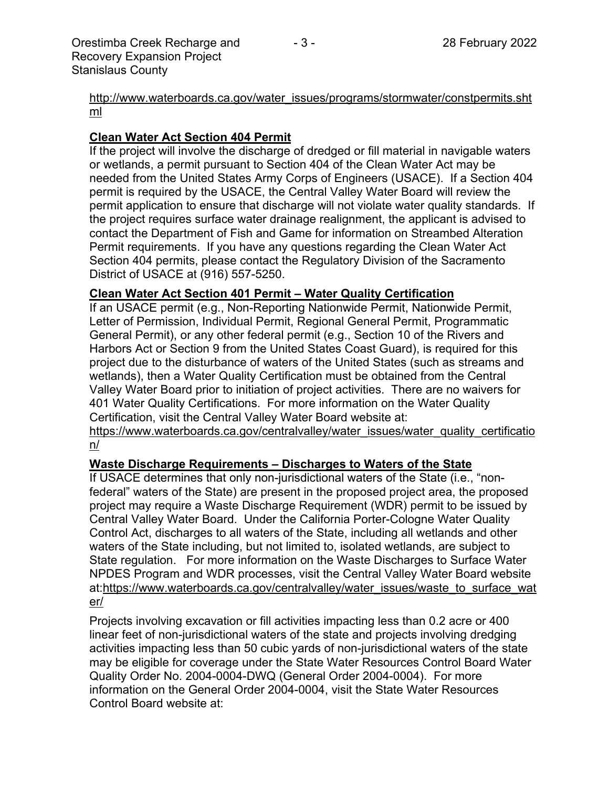[http://www.waterboards.ca.gov/water\\_issues/programs/stormwater/constpermits.sht](http://www.waterboards.ca.gov/water_issues/programs/stormwater/constpermits.shtml) [ml](http://www.waterboards.ca.gov/water_issues/programs/stormwater/constpermits.shtml)

## **Clean Water Act Section 404 Permit**

If the project will involve the discharge of dredged or fill material in navigable waters or wetlands, a permit pursuant to Section 404 of the Clean Water Act may be needed from the United States Army Corps of Engineers (USACE). If a Section 404 permit is required by the USACE, the Central Valley Water Board will review the permit application to ensure that discharge will not violate water quality standards. If the project requires surface water drainage realignment, the applicant is advised to contact the Department of Fish and Game for information on Streambed Alteration Permit requirements. If you have any questions regarding the Clean Water Act Section 404 permits, please contact the Regulatory Division of the Sacramento District of USACE at (916) 557-5250.

## **Clean Water Act Section 401 Permit – Water Quality Certification**

If an USACE permit (e.g., Non-Reporting Nationwide Permit, Nationwide Permit, Letter of Permission, Individual Permit, Regional General Permit, Programmatic General Permit), or any other federal permit (e.g., Section 10 of the Rivers and Harbors Act or Section 9 from the United States Coast Guard), is required for this project due to the disturbance of waters of the United States (such as streams and wetlands), then a Water Quality Certification must be obtained from the Central Valley Water Board prior to initiation of project activities. There are no waivers for 401 Water Quality Certifications. For more information on the Water Quality Certification, visit the Central Valley Water Board website at:

https://www.waterboards.ca.gov/centralvalley/water\_issues/water\_quality\_certificatio n/

## **Waste Discharge Requirements – Discharges to Waters of the State**

If USACE determines that only non-jurisdictional waters of the State (i.e., "nonfederal" waters of the State) are present in the proposed project area, the proposed project may require a Waste Discharge Requirement (WDR) permit to be issued by Central Valley Water Board. Under the California Porter-Cologne Water Quality Control Act, discharges to all waters of the State, including all wetlands and other waters of the State including, but not limited to, isolated wetlands, are subject to State regulation. For more information on the Waste Discharges to Surface Water NPDES Program and WDR processes, visit the Central Valley Water Board website at:https://www.waterboards.ca.gov/centralvalley/water\_issues/waste\_to\_surface\_wat er/

Projects involving excavation or fill activities impacting less than 0.2 acre or 400 linear feet of non-jurisdictional waters of the state and projects involving dredging activities impacting less than 50 cubic yards of non-jurisdictional waters of the state may be eligible for coverage under the State Water Resources Control Board Water Quality Order No. 2004-0004-DWQ (General Order 2004-0004). For more information on the General Order 2004-0004, visit the State Water Resources Control Board website at: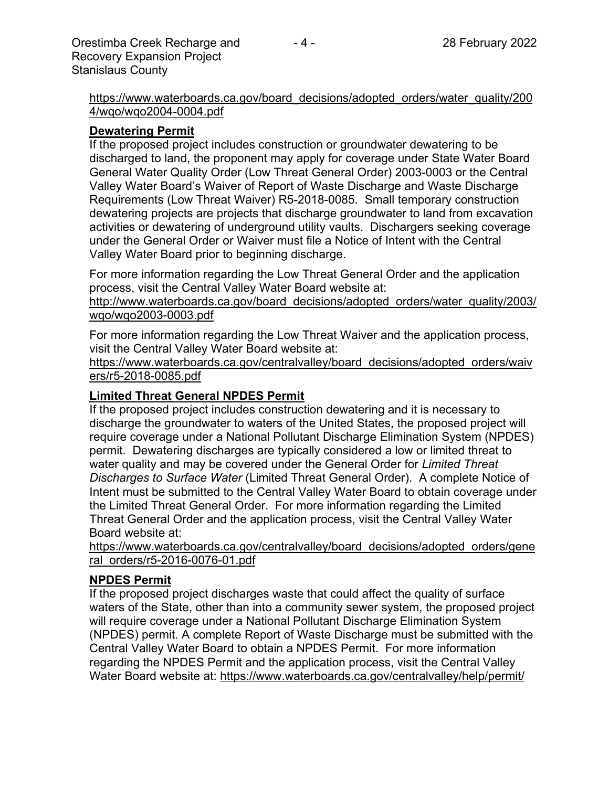https://www.waterboards.ca.gov/board\_decisions/adopted\_orders/water\_quality/200 4/wqo/wqo2004-0004.pdf

## **Dewatering Permit**

If the proposed project includes construction or groundwater dewatering to be discharged to land, the proponent may apply for coverage under State Water Board General Water Quality Order (Low Threat General Order) 2003-0003 or the Central Valley Water Board's Waiver of Report of Waste Discharge and Waste Discharge Requirements (Low Threat Waiver) R5-2018-0085. Small temporary construction dewatering projects are projects that discharge groundwater to land from excavation activities or dewatering of underground utility vaults. Dischargers seeking coverage under the General Order or Waiver must file a Notice of Intent with the Central Valley Water Board prior to beginning discharge.

For more information regarding the Low Threat General Order and the application process, visit the Central Valley Water Board website at:

http://www.waterboards.ca.gov/board decisions/adopted orders/water quality/2003/ wqo/wqo2003-0003.pdf

For more information regarding the Low Threat Waiver and the application process, visit the Central Valley Water Board website at:

https://www.waterboards.ca.gov/centralvalley/board\_decisions/adopted\_orders/waiv ers/r5-2018-0085.pdf

## **Limited Threat General NPDES Permit**

If the proposed project includes construction dewatering and it is necessary to discharge the groundwater to waters of the United States, the proposed project will require coverage under a National Pollutant Discharge Elimination System (NPDES) permit. Dewatering discharges are typically considered a low or limited threat to water quality and may be covered under the General Order for *Limited Threat Discharges to Surface Water* (Limited Threat General Order). A complete Notice of Intent must be submitted to the Central Valley Water Board to obtain coverage under the Limited Threat General Order. For more information regarding the Limited Threat General Order and the application process, visit the Central Valley Water Board website at:

https://www.waterboards.ca.gov/centralvalley/board\_decisions/adopted\_orders/gene ral\_orders/r5-2016-0076-01.pdf

## **NPDES Permit**

If the proposed project discharges waste that could affect the quality of surface waters of the State, other than into a community sewer system, the proposed project will require coverage under a National Pollutant Discharge Elimination System (NPDES) permit. A complete Report of Waste Discharge must be submitted with the Central Valley Water Board to obtain a NPDES Permit. For more information regarding the NPDES Permit and the application process, visit the Central Valley Water Board website at: https://www.waterboards.ca.gov/centralvalley/help/permit/